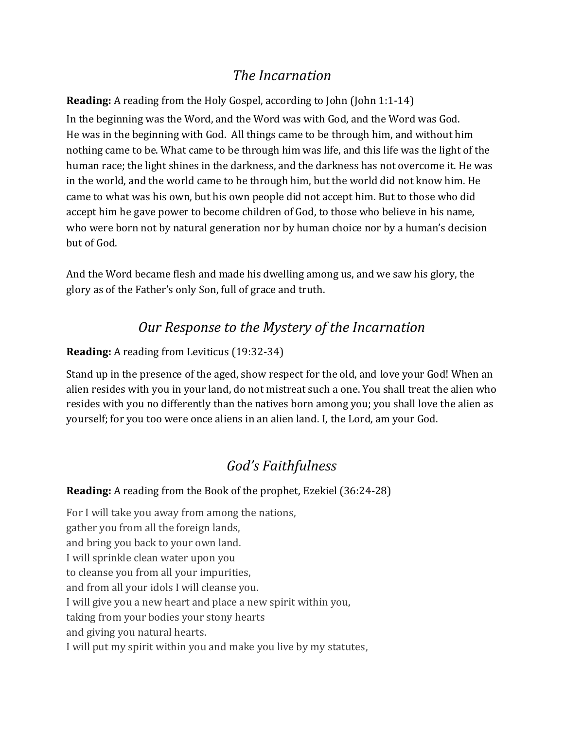### *The Incarnation*

**Reading:** A reading from the Holy Gospel, according to John (John 1:1-14) In the beginning was the Word, and the Word was with God, and the Word was God. He was in the beginning with God. All things came to be through him, and without him nothing came to be. What came to be through him was life, and this life was the light of the human race; the light shines in the darkness, and the darkness has not overcome it. He was in the world, and the world came to be through him, but the world did not know him. He came to what was his own, but his own people did not accept him. But to those who did accept him he gave power to become children of God, to those who believe in his name, who were born not by natural generation nor by human choice nor by a human's decision but of God.

And the Word became flesh and made his dwelling among us, and we saw his glory, the glory as of the Father's only Son, full of grace and truth.

# *Our Response to the Mystery of the Incarnation*

#### **Reading:** A reading from Leviticus (19:32-34)

Stand up in the presence of the aged, show respect for the old, and love your God! When an alien resides with you in your land, do not mistreat such a one. You shall treat the alien who resides with you no differently than the natives born among you; you shall love the alien as yourself; for you too were once aliens in an alien land. I, the Lord, am your God.

# *God's Faithfulness*

#### **Reading:** A reading from the Book of the prophet, Ezekiel (36:24-28)

For I will take you away from among the nations, gather you from all the foreign lands, and bring you back to your own land. I will sprinkle clean water upon you to cleanse you from all your impurities, and from all your idols I will cleanse you. I will give you a new heart and place a new spirit within you, taking from your bodies your stony hearts and giving you natural hearts. I will put my spirit within you and make you live by my statutes,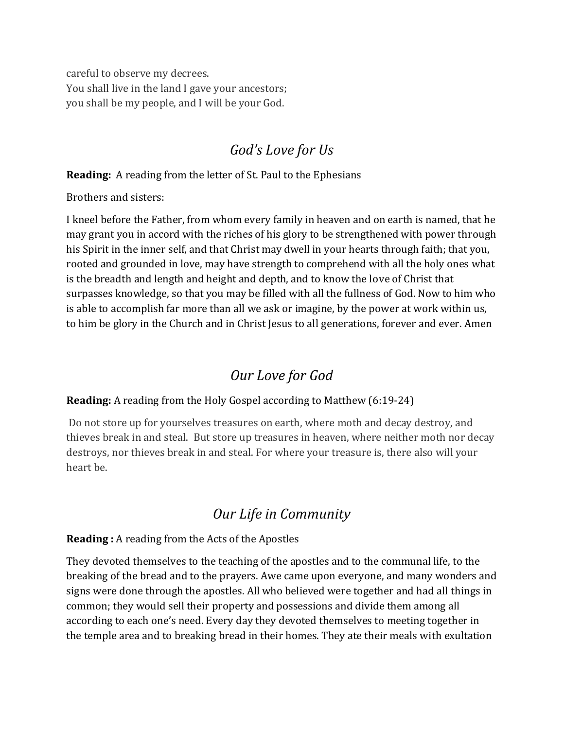careful to observe my decrees. You shall live in the land I gave your ancestors; you shall be my people, and I will be your God.

### *God's Love for Us*

#### **Reading:** A reading from the letter of St. Paul to the Ephesians

Brothers and sisters:

I kneel before the Father, from whom every family in heaven and on earth is named, that he may grant you in accord with the riches of his glory to be strengthened with power through his Spirit in the inner self, and that Christ may dwell in your hearts through faith; that you, rooted and grounded in love, may have strength to comprehend with all the holy ones what is the breadth and length and height and depth, and to know the love of Christ that surpasses knowledge, so that you may be filled with all the fullness of God. Now to him who is able to accomplish far more than all we ask or imagine, by the power at work within us, to him be glory in the Church and in Christ Jesus to all generations, forever and ever. Amen

# *Our Love for God*

#### **Reading:** A reading from the Holy Gospel according to Matthew (6:19-24)

Do not store up for yourselves treasures on earth, where moth and decay destroy, and thieves break in and steal. But store up treasures in heaven, where neither moth nor decay destroys, nor thieves break in and steal. For where your treasure is, there also will your heart be.

# *Our Life in Community*

#### **Reading :** A reading from the Acts of the Apostles

They devoted themselves to the teaching of the apostles and to the communal life, to the breaking of the bread and to the prayers. Awe came upon everyone, and many wonders and signs were done through the apostles. All who believed were together and had all things in common; they would sell their property and possessions and divide them among all according to each one's need. Every day they devoted themselves to meeting together in the temple area and to breaking bread in their homes. They ate their meals with exultation